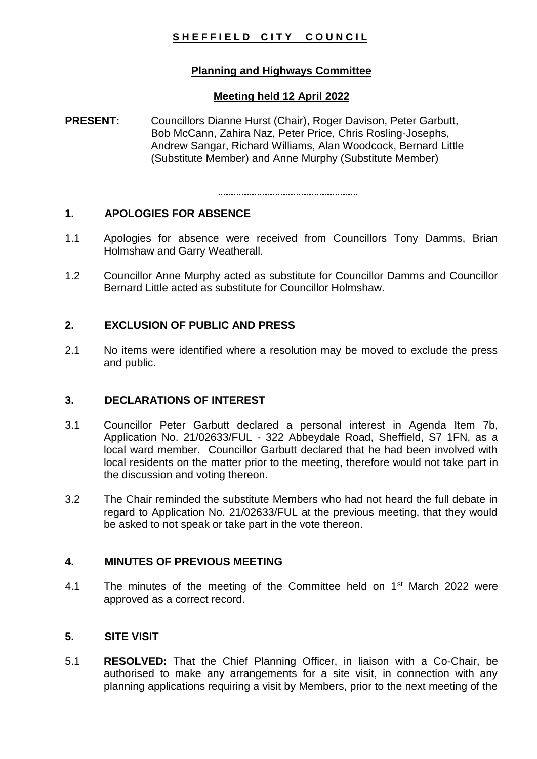# SHEFFIELD CITY COUNCIL

## **Planning and Highways Committee**

## **Meeting held 12 April 2022**

**PRESENT:** Councillors Dianne Hurst (Chair), Roger Davison, Peter Garbutt, Bob McCann, Zahira Naz, Peter Price, Chris Rosling-Josephs, Andrew Sangar, Richard Williams, Alan Woodcock, Bernard Little (Substitute Member) and Anne Murphy (Substitute Member)

## **1. APOLOGIES FOR ABSENCE**

- 1.1 Apologies for absence were received from Councillors Tony Damms, Brian Holmshaw and Garry Weatherall.
- 1.2 Councillor Anne Murphy acted as substitute for Councillor Damms and Councillor Bernard Little acted as substitute for Councillor Holmshaw.

## **2. EXCLUSION OF PUBLIC AND PRESS**

2.1 No items were identified where a resolution may be moved to exclude the press and public.

## **3. DECLARATIONS OF INTEREST**

- 3.1 Councillor Peter Garbutt declared a personal interest in Agenda Item 7b, Application No. 21/02633/FUL - 322 Abbeydale Road, Sheffield, S7 1FN, as a local ward member. Councillor Garbutt declared that he had been involved with local residents on the matter prior to the meeting, therefore would not take part in the discussion and voting thereon.
- 3.2 The Chair reminded the substitute Members who had not heard the full debate in regard to Application No. 21/02633/FUL at the previous meeting, that they would be asked to not speak or take part in the vote thereon.

## **4. MINUTES OF PREVIOUS MEETING**

4.1 The minutes of the meeting of the Committee held on 1<sup>st</sup> March 2022 were approved as a correct record.

#### **5. SITE VISIT**

5.1 **RESOLVED:** That the Chief Planning Officer, in liaison with a Co-Chair, be authorised to make any arrangements for a site visit, in connection with any planning applications requiring a visit by Members, prior to the next meeting of the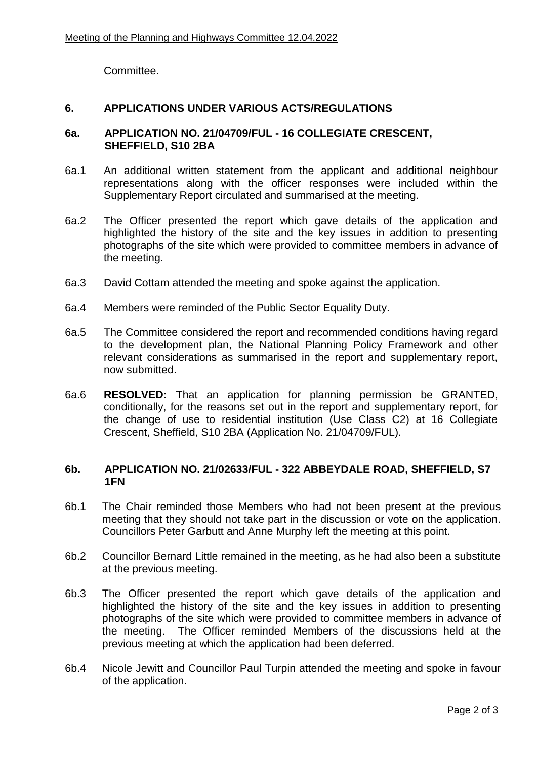Committee.

#### **6. APPLICATIONS UNDER VARIOUS ACTS/REGULATIONS**

#### **6a. APPLICATION NO. 21/04709/FUL - 16 COLLEGIATE CRESCENT, SHEFFIELD, S10 2BA**

- 6a.1 An additional written statement from the applicant and additional neighbour representations along with the officer responses were included within the Supplementary Report circulated and summarised at the meeting.
- 6a.2 The Officer presented the report which gave details of the application and highlighted the history of the site and the key issues in addition to presenting photographs of the site which were provided to committee members in advance of the meeting.
- 6a.3 David Cottam attended the meeting and spoke against the application.
- 6a.4 Members were reminded of the Public Sector Equality Duty.
- 6a.5 The Committee considered the report and recommended conditions having regard to the development plan, the National Planning Policy Framework and other relevant considerations as summarised in the report and supplementary report, now submitted.
- 6a.6 **RESOLVED:** That an application for planning permission be GRANTED, conditionally, for the reasons set out in the report and supplementary report, for the change of use to residential institution (Use Class C2) at 16 Collegiate Crescent, Sheffield, S10 2BA (Application No. 21/04709/FUL).

#### **6b. APPLICATION NO. 21/02633/FUL - 322 ABBEYDALE ROAD, SHEFFIELD, S7 1FN**

- 6b.1 The Chair reminded those Members who had not been present at the previous meeting that they should not take part in the discussion or vote on the application. Councillors Peter Garbutt and Anne Murphy left the meeting at this point.
- 6b.2 Councillor Bernard Little remained in the meeting, as he had also been a substitute at the previous meeting.
- 6b.3 The Officer presented the report which gave details of the application and highlighted the history of the site and the key issues in addition to presenting photographs of the site which were provided to committee members in advance of the meeting. The Officer reminded Members of the discussions held at the previous meeting at which the application had been deferred.
- 6b.4 Nicole Jewitt and Councillor Paul Turpin attended the meeting and spoke in favour of the application.